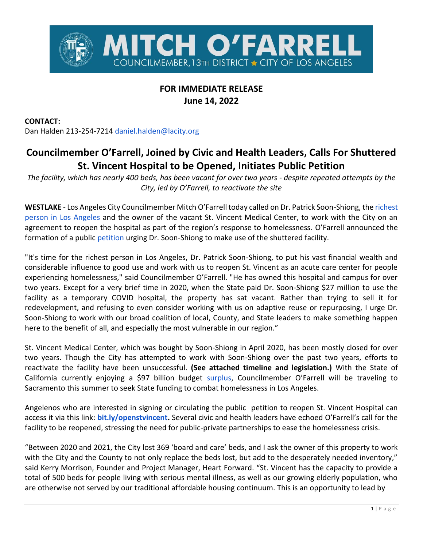

## **FOR IMMEDIATE RELEASE June 14, 2022**

**CONTACT:**

Dan Halden 213-254-7214 [daniel.halden@lacity.org](mailto:daniel.halden@lacity.org)

## **Councilmember O'Farrell, Joined by Civic and Health Leaders, Calls For Shuttered St. Vincent Hospital to be Opened, Initiates Public Petition**

*The facility, which has nearly 400 beds, has been vacant for over two years - despite repeated attempts by the City, led by O'Farrell, to reactivate the site*

**WESTLAKE** - Los Angeles City Councilmember Mitch O'Farrell today called on Dr. Patrick Soon-Shiong, the [richest](https://labusinessjournal.com/wealthiest-angelenos/)  [person in Los Angeles](https://labusinessjournal.com/wealthiest-angelenos/) and the owner of the vacant St. Vincent Medical Center, to work with the City on an agreement to reopen the hospital as part of the region's response to homelessness. O'Farrell announced the formation of a public [petition](http://bit.ly/openstvincent) urging Dr. Soon-Shiong to make use of the shuttered facility.

"It's time for the richest person in Los Angeles, Dr. Patrick Soon-Shiong, to put his vast financial wealth and considerable influence to good use and work with us to reopen St. Vincent as an acute care center for people experiencing homelessness," said Councilmember O'Farrell. "He has owned this hospital and campus for over two years. Except for a very brief time in 2020, when the State paid Dr. Soon-Shiong \$27 million to use the facility as a temporary COVID hospital, the property has sat vacant. Rather than trying to sell it for redevelopment, and refusing to even consider working with us on adaptive reuse or repurposing, I urge Dr. Soon-Shiong to work with our broad coalition of local, County, and State leaders to make something happen here to the benefit of all, and especially the most vulnerable in our region."

St. Vincent Medical Center, which was bought by Soon-Shiong in April 2020, has been mostly closed for over two years. Though the City has attempted to work with Soon-Shiong over the past two years, efforts to reactivate the facility have been unsuccessful. **(See attached timeline and legislation.)** With the State of California currently enjoying a \$97 billion budget [surplus,](https://www.latimes.com/california/story/2022-05-13/california-budget-surplus-swells-to-97-billion-under-newsom-new-plan) Councilmember O'Farrell will be traveling to Sacramento this summer to seek State funding to combat homelessness in Los Angeles.

Angelenos who are interested in signing or circulating the public petition to reopen St. Vincent Hospital can access it via this link: **[bit.ly/openstvincent.](https://chng.it/Xmn7CVrR)** Several civic and health leaders have echoed O'Farrell's call for the facility to be reopened, stressing the need for public-private partnerships to ease the homelessness crisis.

"Between 2020 and 2021, the City lost 369 'board and care' beds, and I ask the owner of this property to work with the City and the County to not only replace the beds lost, but add to the desperately needed inventory," said Kerry Morrison, Founder and Project Manager, Heart Forward. "St. Vincent has the capacity to provide a total of 500 beds for people living with serious mental illness, as well as our growing elderly population, who are otherwise not served by our traditional affordable housing continuum. This is an opportunity to lead by